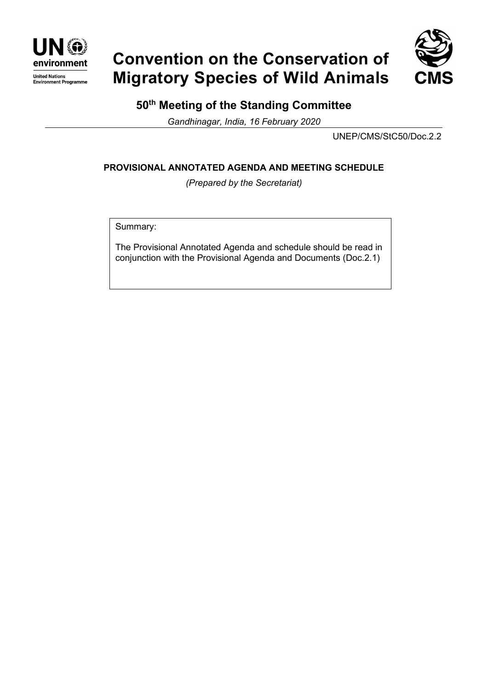

# **Convention on the Conservation of Migratory Species of Wild Animals**



### **50th Meeting of the Standing Committee**

*Gandhinagar, India, 16 February 2020*

UNEP/CMS/StC50/Doc.2.2

#### **PROVISIONAL ANNOTATED AGENDA AND MEETING SCHEDULE**

*(Prepared by the Secretariat)*

Summary:

The Provisional Annotated Agenda and schedule should be read in conjunction with the Provisional Agenda and Documents (Doc.2.1)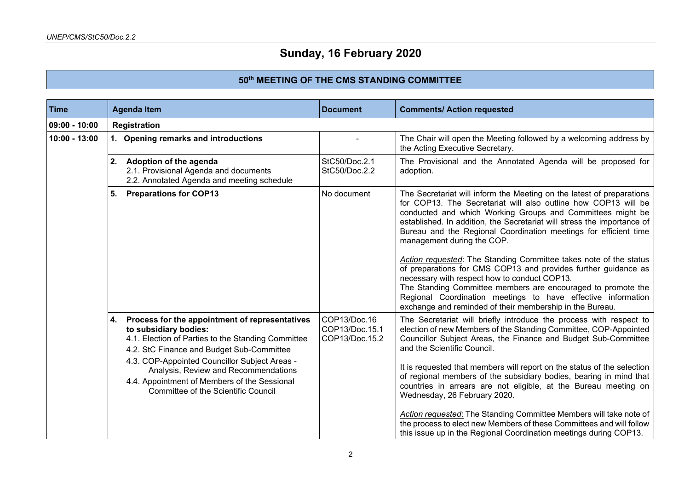## **Sunday, 16 February 2020**

#### **50th MEETING OF THE CMS STANDING COMMITTEE**

| Time            | <b>Agenda Item</b>                                                                                                                                                                                                                                                                                                                                               | <b>Document</b>                                  | <b>Comments/ Action requested</b>                                                                                                                                                                                                                                                                                                                                                                                                                                                                                                                                                                                                                                                                                                                                     |
|-----------------|------------------------------------------------------------------------------------------------------------------------------------------------------------------------------------------------------------------------------------------------------------------------------------------------------------------------------------------------------------------|--------------------------------------------------|-----------------------------------------------------------------------------------------------------------------------------------------------------------------------------------------------------------------------------------------------------------------------------------------------------------------------------------------------------------------------------------------------------------------------------------------------------------------------------------------------------------------------------------------------------------------------------------------------------------------------------------------------------------------------------------------------------------------------------------------------------------------------|
| $09:00 - 10:00$ | Registration                                                                                                                                                                                                                                                                                                                                                     |                                                  |                                                                                                                                                                                                                                                                                                                                                                                                                                                                                                                                                                                                                                                                                                                                                                       |
| $10:00 - 13:00$ | 1. Opening remarks and introductions                                                                                                                                                                                                                                                                                                                             |                                                  | The Chair will open the Meeting followed by a welcoming address by<br>the Acting Executive Secretary.                                                                                                                                                                                                                                                                                                                                                                                                                                                                                                                                                                                                                                                                 |
|                 | 2. Adoption of the agenda<br>2.1. Provisional Agenda and documents<br>2.2. Annotated Agenda and meeting schedule                                                                                                                                                                                                                                                 | StC50/Doc.2.1<br>StC50/Doc.2.2                   | The Provisional and the Annotated Agenda will be proposed for<br>adoption.                                                                                                                                                                                                                                                                                                                                                                                                                                                                                                                                                                                                                                                                                            |
|                 | <b>Preparations for COP13</b><br>5.                                                                                                                                                                                                                                                                                                                              | No document                                      | The Secretariat will inform the Meeting on the latest of preparations<br>for COP13. The Secretariat will also outline how COP13 will be<br>conducted and which Working Groups and Committees might be<br>established. In addition, the Secretariat will stress the importance of<br>Bureau and the Regional Coordination meetings for efficient time<br>management during the COP.<br>Action requested: The Standing Committee takes note of the status<br>of preparations for CMS COP13 and provides further guidance as<br>necessary with respect how to conduct COP13.<br>The Standing Committee members are encouraged to promote the<br>Regional Coordination meetings to have effective information<br>exchange and reminded of their membership in the Bureau. |
|                 | Process for the appointment of representatives<br>4.<br>to subsidiary bodies:<br>4.1. Election of Parties to the Standing Committee<br>4.2. StC Finance and Budget Sub-Committee<br>4.3. COP-Appointed Councillor Subject Areas -<br>Analysis, Review and Recommendations<br>4.4. Appointment of Members of the Sessional<br>Committee of the Scientific Council | COP13/Doc.16<br>COP13/Doc.15.1<br>COP13/Doc.15.2 | The Secretariat will briefly introduce the process with respect to<br>election of new Members of the Standing Committee, COP-Appointed<br>Councillor Subject Areas, the Finance and Budget Sub-Committee<br>and the Scientific Council.<br>It is requested that members will report on the status of the selection<br>of regional members of the subsidiary bodies, bearing in mind that<br>countries in arrears are not eligible, at the Bureau meeting on<br>Wednesday, 26 February 2020.<br>Action requested: The Standing Committee Members will take note of<br>the process to elect new Members of these Committees and will follow<br>this issue up in the Regional Coordination meetings during COP13.                                                        |